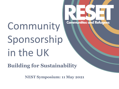# Community Sponsorship in the UK

**Building for Sustainability**

**NEST Symposium: 11 May 2021**

**Communities and Refugees**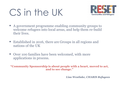# CS in the UK



- A government programme enabling community groups to welcome refugees into local areas, and help them re-build their lives.
- Established in 2016, there are Groups in all regions and nations of the UK
- Over 100 families have been welcomed, with more applications in process.

**"Community Sponsorship is about people with a heart, moved to act, and to see change."**

*Lisa Westlake, CHARIS Refugees*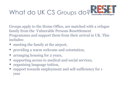

Groups apply to the Home Office, are matched with a refugee family from the Vulnerable Persons Resettlement Programmes and support them from their arrival in UK. This includes:

- meeting the family at the airport,
- providing a warm welcome and orientation,
- arranging housing for 2 years,
- supporting access to medical and social services,
- organising language tuition,
- support towards employment and self-sufficiency for 1 year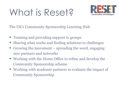# What is Reset?



The UK's Community Sponsorship Learning Hub

- Training and providing support to groups
- Sharing what works and finding solutions to challenges
- Growing the movement spreading the word, engaging new partners and networks
- Working with the Home Office to refine and develop the Community Sponsorship scheme
- Working with academic partners to evaluate the impact of Community Sponsorship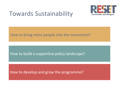#### Towards Sustainability



#### How to bring more people into the movement?

#### How to build a supportive policy landscape?

How to develop and grow the programme?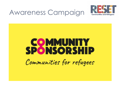### Awareness Campaign



# **SPONSORSHIP** Communities for refugees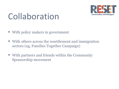

## Collaboration

- With policy makers in government
- With others across the resettlement and immigration sectors (eg, Families Together Campaign)
- With partners and friends within the Community Sponsorship movement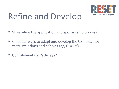

# Refine and Develop

- Streamline the application and sponsorship process
- Consider ways to adapt and develop the CS model for more situations and cohorts (eg, UASCs)
- Complementary Pathways?